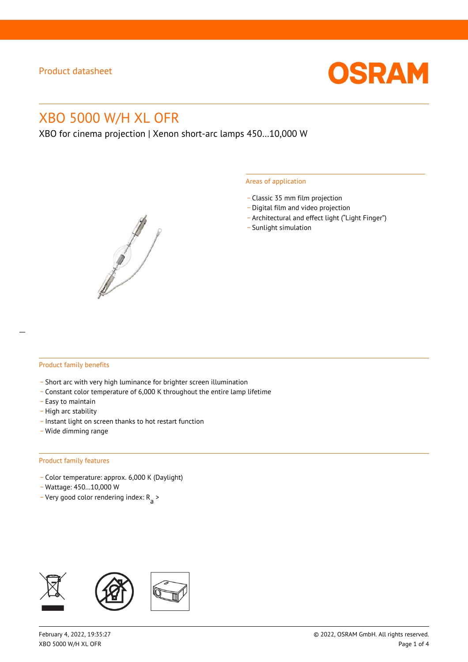

# XBO 5000 W/H XL OFR

XBO for cinema projection | Xenon short-arc lamps 450…10,000 W



#### Areas of application

- \_ Classic 35 mm film projection
- \_ Digital film and video projection
- \_ Architectural and effect light ("Light Finger")
- Sunlight simulation

#### Product family benefits

- \_ Short arc with very high luminance for brighter screen illumination
- \_ Constant color temperature of 6,000 K throughout the entire lamp lifetime
- \_ Easy to maintain
- High arc stability
- \_ Instant light on screen thanks to hot restart function
- \_ Wide dimming range

#### Product family features

- \_ Color temperature: approx. 6,000 K (Daylight)
- \_ Wattage: 450…10,000 W
- Very good color rendering index:  $R_{\text{a}}$  >

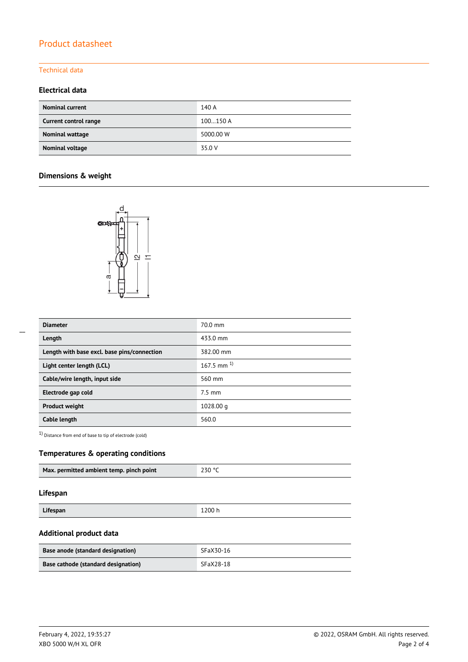# Product datasheet

#### Technical data

### **Electrical data**

| <b>Nominal current</b> | 140 A     |
|------------------------|-----------|
| Current control range  | 100150 A  |
| Nominal wattage        | 5000.00 W |
| Nominal voltage        | 35.0 V    |

## **Dimensions & weight**



| <b>Diameter</b>                             | 70.0 mm          |
|---------------------------------------------|------------------|
| Length                                      | 433.0 mm         |
| Length with base excl. base pins/connection | 382.00 mm        |
| Light center length (LCL)                   | 167.5 mm $^{1}$  |
| Cable/wire length, input side               | 560 mm           |
| Electrode gap cold                          | $7.5 \text{ mm}$ |
| <b>Product weight</b>                       | 1028.00 g        |
| Cable length                                | 560.0            |

1) Distance from end of base to tip of electrode (cold)

### **Temperatures & operating conditions**

| Max. permitted ambient temp. pinch point | 230 °C |
|------------------------------------------|--------|
|                                          |        |

### **Lifespan**

| Lifespan | 1200 h |
|----------|--------|
|          | -----  |

### **Additional product data**

| <b>Base anode (standard designation)</b> | SFaX30-16 |
|------------------------------------------|-----------|
| Base cathode (standard designation)      | SFaX28-18 |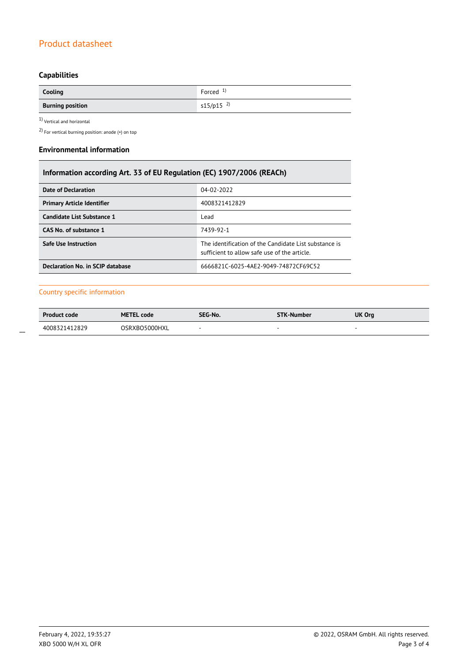# Product datasheet

# **Capabilities**

| Cooling                 | Forced $1$              |
|-------------------------|-------------------------|
| <b>Burning position</b> | $s15/p15$ <sup>2)</sup> |

 $1$ Vertical and horizontal  $\,$ 

2) For vertical burning position: anode (+) on top

### **Environmental information**

| Information according Art. 33 of EU Regulation (EC) 1907/2006 (REACh) |                                                                                                       |  |  |
|-----------------------------------------------------------------------|-------------------------------------------------------------------------------------------------------|--|--|
| Date of Declaration                                                   | 04-02-2022                                                                                            |  |  |
| <b>Primary Article Identifier</b>                                     | 4008321412829                                                                                         |  |  |
| Candidate List Substance 1                                            | Lead                                                                                                  |  |  |
| CAS No. of substance 1                                                | 7439-92-1                                                                                             |  |  |
| <b>Safe Use Instruction</b>                                           | The identification of the Candidate List substance is<br>sufficient to allow safe use of the article. |  |  |
| Declaration No. in SCIP database                                      | 6666821C-6025-4AE2-9049-74872CF69C52                                                                  |  |  |

### Country specific information

| <b>Product code</b> | <b>METEL code</b> | SEG-No. | <b>STK-Number</b> | UK Org |
|---------------------|-------------------|---------|-------------------|--------|
| 4008321412829       | OSRXBO5000HXL     |         |                   |        |